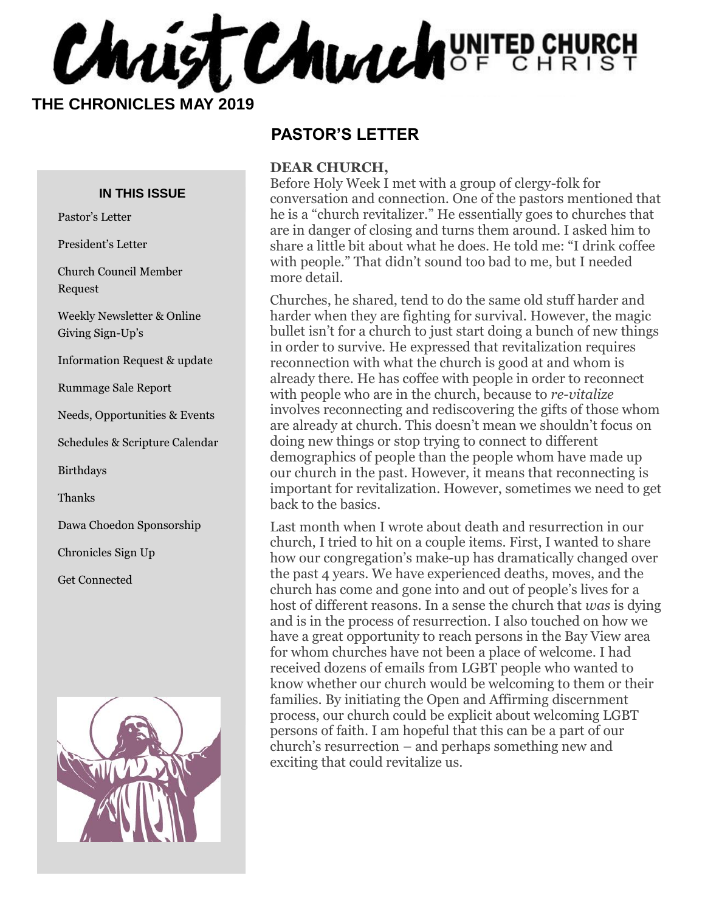Chaist Church UNITED CHURCH

 **THE CHRONICLES MAY 2019**

#### **IN THIS ISSUE**

Pastor's Letter

President's Letter

Church Council Member Request

Weekly Newsletter & Online Giving Sign-Up's

Information Request & update

Rummage Sale Report

Needs, Opportunities & Events

Schedules & Scripture Calendar

Birthdays

Thanks

Dawa Choedon Sponsorship

Chronicles Sign Up

Get Connected



## **PASTOR'S LETTER**

#### **DEAR CHURCH,**

Before Holy Week I met with a group of clergy-folk for conversation and connection. One of the pastors mentioned that he is a "church revitalizer." He essentially goes to churches that are in danger of closing and turns them around. I asked him to share a little bit about what he does. He told me: "I drink coffee with people." That didn't sound too bad to me, but I needed more detail.

Churches, he shared, tend to do the same old stuff harder and harder when they are fighting for survival. However, the magic bullet isn't for a church to just start doing a bunch of new things in order to survive. He expressed that revitalization requires reconnection with what the church is good at and whom is already there. He has coffee with people in order to reconnect with people who are in the church, because to *re-vitalize* involves reconnecting and rediscovering the gifts of those whom are already at church. This doesn't mean we shouldn't focus on doing new things or stop trying to connect to different demographics of people than the people whom have made up our church in the past. However, it means that reconnecting is important for revitalization. However, sometimes we need to get back to the basics.

Last month when I wrote about death and resurrection in our church, I tried to hit on a couple items. First, I wanted to share how our congregation's make-up has dramatically changed over the past 4 years. We have experienced deaths, moves, and the church has come and gone into and out of people's lives for a host of different reasons. In a sense the church that *was* is dying and is in the process of resurrection. I also touched on how we have a great opportunity to reach persons in the Bay View area for whom churches have not been a place of welcome. I had received dozens of emails from LGBT people who wanted to know whether our church would be welcoming to them or their families. By initiating the Open and Affirming discernment process, our church could be explicit about welcoming LGBT persons of faith. I am hopeful that this can be a part of our church's resurrection – and perhaps something new and exciting that could revitalize us.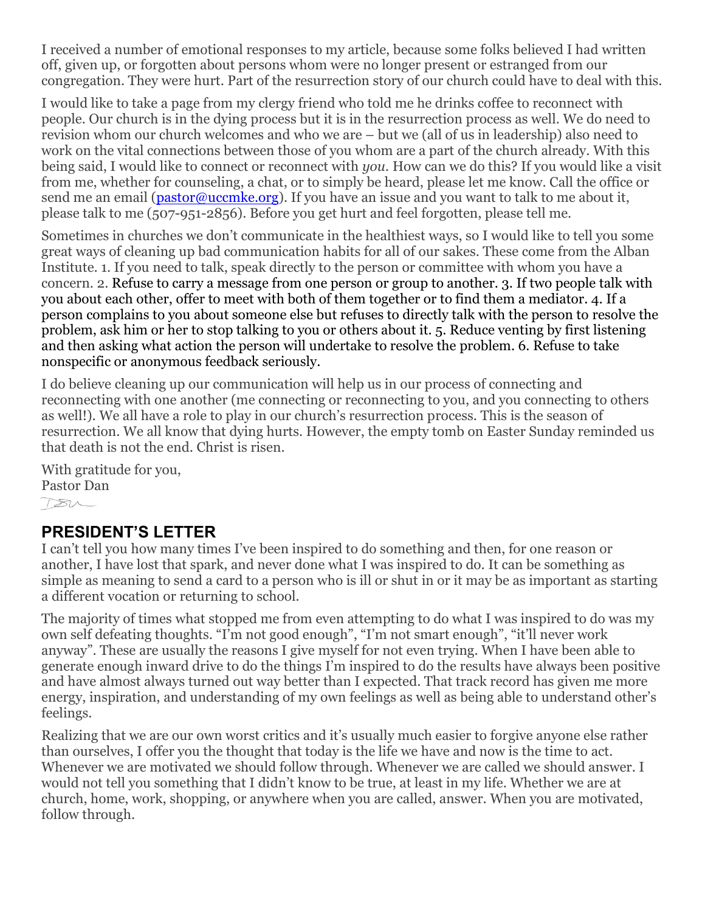I received a number of emotional responses to my article, because some folks believed I had written off, given up, or forgotten about persons whom were no longer present or estranged from our congregation. They were hurt. Part of the resurrection story of our church could have to deal with this.

I would like to take a page from my clergy friend who told me he drinks coffee to reconnect with people. Our church is in the dying process but it is in the resurrection process as well. We do need to revision whom our church welcomes and who we are – but we (all of us in leadership) also need to work on the vital connections between those of you whom are a part of the church already. With this being said, I would like to connect or reconnect with *you.* How can we do this? If you would like a visit from me, whether for counseling, a chat, or to simply be heard, please let me know. Call the office or send me an email ( $\mathbf{pastor@ucemke.org}$ ). If you have an issue and you want to talk to me about it, please talk to me (507-951-2856). Before you get hurt and feel forgotten, please tell me.

Sometimes in churches we don't communicate in the healthiest ways, so I would like to tell you some great ways of cleaning up bad communication habits for all of our sakes. These come from the Alban Institute. 1. If you need to talk, speak directly to the person or committee with whom you have a concern. 2. Refuse to carry a message from one person or group to another. 3. If two people talk with you about each other, offer to meet with both of them together or to find them a mediator. 4. If a person complains to you about someone else but refuses to directly talk with the person to resolve the problem, ask him or her to stop talking to you or others about it. 5. Reduce venting by first listening and then asking what action the person will undertake to resolve the problem. 6. Refuse to take nonspecific or anonymous feedback seriously.

I do believe cleaning up our communication will help us in our process of connecting and reconnecting with one another (me connecting or reconnecting to you, and you connecting to others as well!). We all have a role to play in our church's resurrection process. This is the season of resurrection. We all know that dying hurts. However, the empty tomb on Easter Sunday reminded us that death is not the end. Christ is risen.

With gratitude for you, Pastor Dan  $780-$ 

#### **PRESIDENT'S LETTER**

I can't tell you how many times I've been inspired to do something and then, for one reason or another, I have lost that spark, and never done what I was inspired to do. It can be something as simple as meaning to send a card to a person who is ill or shut in or it may be as important as starting a different vocation or returning to school.

The majority of times what stopped me from even attempting to do what I was inspired to do was my own self defeating thoughts. "I'm not good enough", "I'm not smart enough", "it'll never work anyway". These are usually the reasons I give myself for not even trying. When I have been able to generate enough inward drive to do the things I'm inspired to do the results have always been positive and have almost always turned out way better than I expected. That track record has given me more energy, inspiration, and understanding of my own feelings as well as being able to understand other's feelings.

Realizing that we are our own worst critics and it's usually much easier to forgive anyone else rather than ourselves, I offer you the thought that today is the life we have and now is the time to act. Whenever we are motivated we should follow through. Whenever we are called we should answer. I would not tell you something that I didn't know to be true, at least in my life. Whether we are at church, home, work, shopping, or anywhere when you are called, answer. When you are motivated, follow through.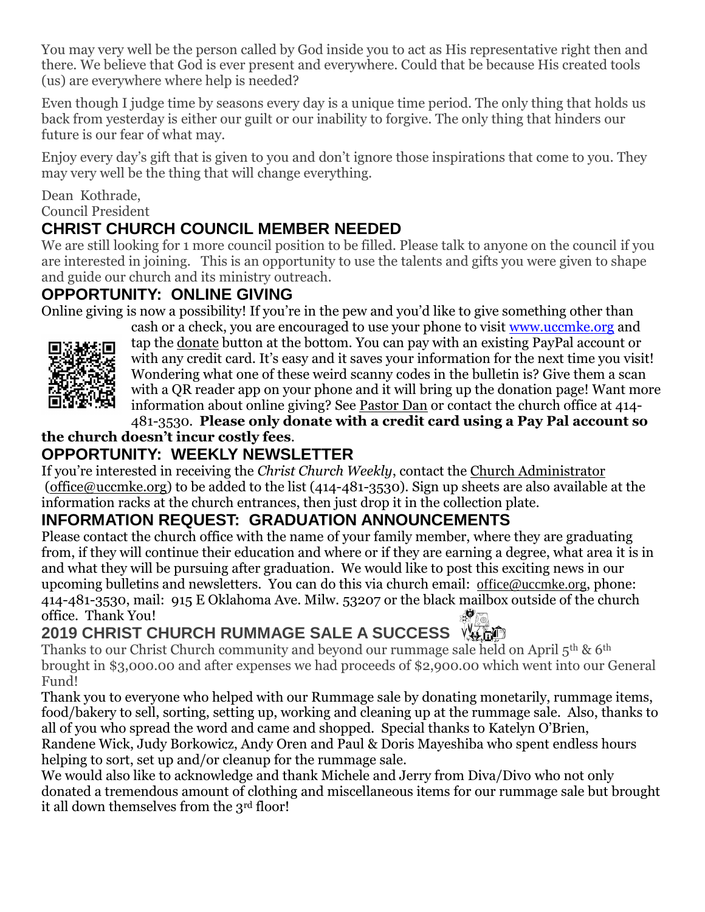You may very well be the person called by God inside you to act as His representative right then and there. We believe that God is ever present and everywhere. Could that be because His created tools (us) are everywhere where help is needed?

Even though I judge time by seasons every day is a unique time period. The only thing that holds us back from yesterday is either our guilt or our inability to forgive. The only thing that hinders our future is our fear of what may.

Enjoy every day's gift that is given to you and don't ignore those inspirations that come to you. They may very well be the thing that will change everything.

#### Dean Kothrade, Council President

## **CHRIST CHURCH COUNCIL MEMBER NEEDED**

We are still looking for 1 more council position to be filled. Please talk to anyone on the council if you are interested in joining. This is an opportunity to use the talents and gifts you were given to shape and guide our church and its ministry outreach.

#### **OPPORTUNITY: ONLINE GIVING**

Online giving is now a possibility! If you're in the pew and you'd like to give something other than



cash or a check, you are encouraged to use your phone to visit [www.uccmke.org](http://www.uccmke.org/) and tap the [donate](https://www.paypal.com/cgi-bin/webscr?cmd=_s-xclick&hosted_button_id=D7W2VTZZBHZNU) button at the bottom. You can pay with an existing PayPal account or with any credit card. It's easy and it saves your information for the next time you visit! Wondering what one of these weird scanny codes in the bulletin is? Give them a scan with a QR reader app on your phone and it will bring up the donation page! Want more information about online giving? See [Pastor Dan](mailto:dan_stark@att.net) or contact the church office at 414-

481-3530. **Please only donate with a credit card using a Pay Pal account so** 

#### **the church doesn't incur costly fees**. **OPPORTUNITY: WEEKLY NEWSLETTER**

If you're interested in receiving the *Christ Church Weekly*, contact the [Church Administrator](mailto:christ-church@att.net) (office@uccmke.org) to be added to the list (414-481-3530). Sign up sheets are also available at the information racks at the church entrances, then just drop it in the collection plate.

## **INFORMATION REQUEST: GRADUATION ANNOUNCEMENTS**

Please contact the church office with the name of your family member, where they are graduating from, if they will continue their education and where or if they are earning a degree, what area it is in and what they will be pursuing after graduation. We would like to post this exciting news in our upcoming bulletins and newsletters. You can do this via church email: office@uccmke.org, phone: 414-481-3530, mail: 915 E Oklahoma Ave. Milw. 53207 or the black mailbox outside of the church office. Thank You!

# **2019 CHRIST CHURCH RUMMAGE SALE A SUCCESS**

Thanks to our Christ Church community and beyond our rummage sale held on April  $5<sup>th</sup>$  &  $6<sup>th</sup>$ brought in \$3,000.00 and after expenses we had proceeds of \$2,900.00 which went into our General Fund!

Thank you to everyone who helped with our Rummage sale by donating monetarily, rummage items, food/bakery to sell, sorting, setting up, working and cleaning up at the rummage sale. Also, thanks to all of you who spread the word and came and shopped. Special thanks to Katelyn O'Brien, Randene Wick, Judy Borkowicz, Andy Oren and Paul & Doris Mayeshiba who spent endless hours helping to sort, set up and/or cleanup for the rummage sale.

We would also like to acknowledge and thank Michele and Jerry from Diva/Divo who not only donated a tremendous amount of clothing and miscellaneous items for our rummage sale but brought it all down themselves from the 3<sup>rd</sup> floor!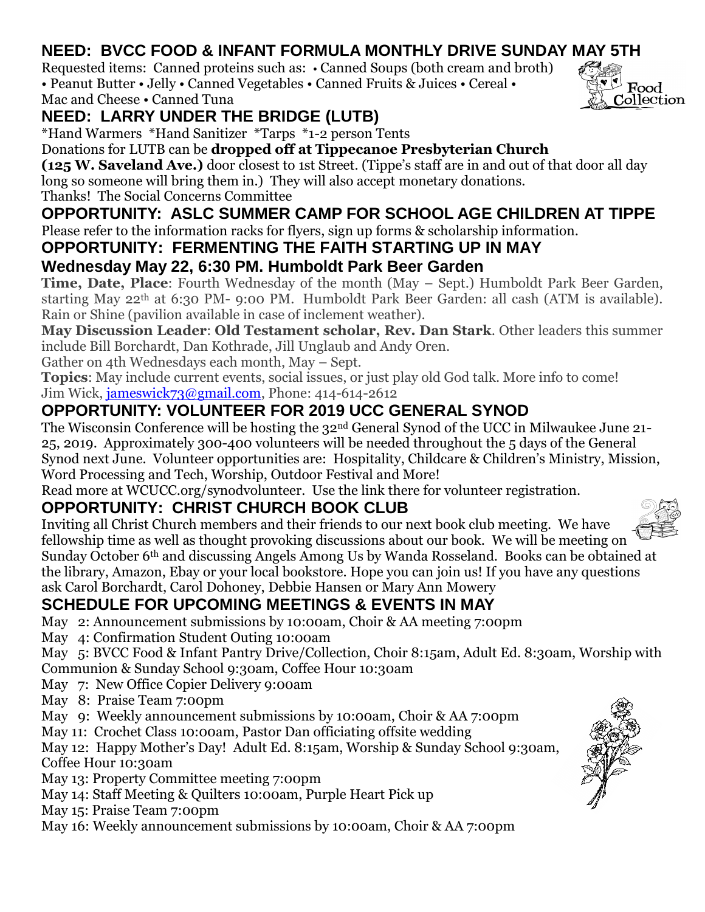# **NEED: BVCC FOOD & INFANT FORMULA MONTHLY DRIVE SUNDAY MAY 5TH**

Requested items: Canned proteins such as: • Canned Soups (both cream and broth) • Peanut Butter • Jelly • Canned Vegetables • Canned Fruits & Juices • Cereal • Mac and Cheese • Canned Tuna

# **NEED: LARRY UNDER THE BRIDGE (LUTB)**

\*Hand Warmers \*Hand Sanitizer \*Tarps \*1-2 person Tents

#### Donations for LUTB can be **dropped off at Tippecanoe Presbyterian Church**

**(125 W. Saveland Ave.)** door closest to 1st Street. (Tippe's staff are in and out of that door all day long so someone will bring them in.) They will also accept monetary donations.

Thanks! The Social Concerns Committee

## **OPPORTUNITY: ASLC SUMMER CAMP FOR SCHOOL AGE CHILDREN AT TIPPE**

Please refer to the information racks for flyers, sign up forms & scholarship information.

# **OPPORTUNITY: FERMENTING THE FAITH STARTING UP IN MAY**

# **Wednesday May 22, 6:30 PM. Humboldt Park Beer Garden**

**Time, Date, Place**: Fourth Wednesday of the month (May – Sept.) Humboldt Park Beer Garden, starting May 22th at 6:30 PM- 9:00 PM. Humboldt Park Beer Garden: all cash (ATM is available). Rain or Shine (pavilion available in case of inclement weather).

**May Discussion Leader**: **Old Testament scholar, Rev. Dan Stark**. Other leaders this summer include Bill Borchardt, Dan Kothrade, Jill Unglaub and Andy Oren.

Gather on 4th Wednesdays each month, May – Sept.

**Topics**: May include current events, social issues, or just play old God talk. More info to come! Jim Wick, [jameswick73@gmail.com,](mailto:jameswick73@gmail.com) Phone: 414-614-2612

# **OPPORTUNITY: VOLUNTEER FOR 2019 UCC GENERAL SYNOD**

The Wisconsin Conference will be hosting the 32nd General Synod of the UCC in Milwaukee June 21- 25, 2019. Approximately 300-400 volunteers will be needed throughout the 5 days of the General Synod next June. Volunteer opportunities are: Hospitality, Childcare & Children's Ministry, Mission, Word Processing and Tech, Worship, Outdoor Festival and More!

Read more at WCUCC.org/synodvolunteer. Use the link there for volunteer registration.

# **OPPORTUNITY: CHRIST CHURCH BOOK CLUB**

Inviting all Christ Church members and their friends to our next book club meeting. We have fellowship time as well as thought provoking discussions about our book. We will be meeting on Sunday October 6th and discussing Angels Among Us by Wanda Rosseland. Books can be obtained at the library, Amazon, Ebay or your local bookstore. Hope you can join us! If you have any questions ask Carol Borchardt, Carol Dohoney, Debbie Hansen or Mary Ann Mowery

# **SCHEDULE FOR UPCOMING MEETINGS & EVENTS IN MAY**

May 2: Announcement submissions by 10:00am, Choir & AA meeting 7:00pm

May 4: Confirmation Student Outing 10:00am

May 5: BVCC Food & Infant Pantry Drive/Collection, Choir 8:15am, Adult Ed. 8:30am, Worship with Communion & Sunday School 9:30am, Coffee Hour 10:30am

- May 7: New Office Copier Delivery 9:00am
- May 8: Praise Team 7:00pm

May 9: Weekly announcement submissions by 10:00am, Choir & AA 7:00pm

May 11: Crochet Class 10:00am, Pastor Dan officiating offsite wedding

May 12: Happy Mother's Day! Adult Ed. 8:15am, Worship & Sunday School 9:30am, Coffee Hour 10:30am

May 13: Property Committee meeting 7:00pm

May 14: Staff Meeting & Quilters 10:00am, Purple Heart Pick up

May 15: Praise Team 7:00pm

May 16: Weekly announcement submissions by 10:00am, Choir & AA 7:00pm





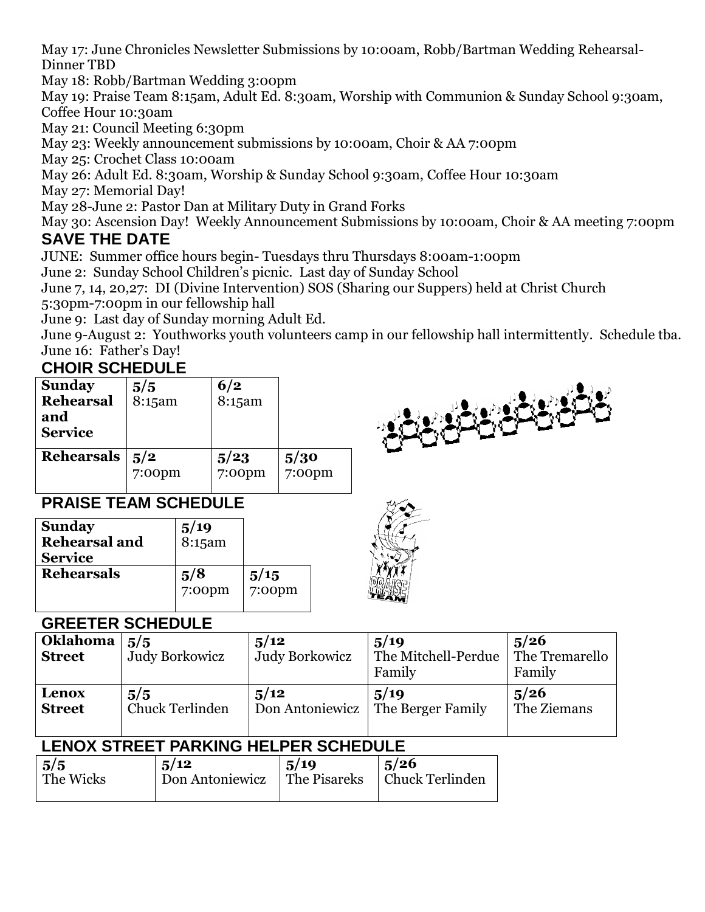May 17: June Chronicles Newsletter Submissions by 10:00am, Robb/Bartman Wedding Rehearsal-Dinner TBD

May 18: Robb/Bartman Wedding 3:00pm

May 19: Praise Team 8:15am, Adult Ed. 8:30am, Worship with Communion & Sunday School 9:30am, Coffee Hour 10:30am

May 21: Council Meeting 6:30pm

May 23: Weekly announcement submissions by 10:00am, Choir & AA 7:00pm

May 25: Crochet Class 10:00am

May 26: Adult Ed. 8:30am, Worship & Sunday School 9:30am, Coffee Hour 10:30am

May 27: Memorial Day!

May 28-June 2: Pastor Dan at Military Duty in Grand Forks

May 30: Ascension Day! Weekly Announcement Submissions by 10:00am, Choir & AA meeting 7:00pm

#### **SAVE THE DATE**

JUNE: Summer office hours begin- Tuesdays thru Thursdays 8:00am-1:00pm

June 2: Sunday School Children's picnic. Last day of Sunday School

June 7, 14, 20,27: DI (Divine Intervention) SOS (Sharing our Suppers) held at Christ Church 5:30pm-7:00pm in our fellowship hall

June 9: Last day of Sunday morning Adult Ed.

June 9-August 2: Youthworks youth volunteers camp in our fellowship hall intermittently. Schedule tba. June 16: Father's Day!

### **CHOIR SCHEDULE**

| <b>Sunday</b><br>Rehearsal<br>and<br><b>Service</b> | 5/5<br>8:15am | 6/2<br>8:15am  |                |  |
|-----------------------------------------------------|---------------|----------------|----------------|--|
| <b>Rehearsals</b>                                   | 5/2<br>7:00pm | 5/23<br>7:00pm | 5/30<br>7:00pm |  |

# **PRAISE TEAM SCHEDULE**

| 5/8<br>$7:00$ pm | 5/15<br>$7:00$ pm |
|------------------|-------------------|
|                  | $5/19$<br>8:15am  |



#### **GREETER SCHEDULE**

| <b>Oklahoma</b><br><b>Street</b> | 5/5<br>Judy Borkowicz  | 5/12<br><b>Judy Borkowicz</b> | 5/19<br>The Mitchell-Perdue<br>Family | 5/26<br>The Tremarello<br>Family |
|----------------------------------|------------------------|-------------------------------|---------------------------------------|----------------------------------|
| Lenox                            | 5/5                    | 5/12                          | 5/19                                  | 5/26                             |
| <b>Street</b>                    | <b>Chuck Terlinden</b> | Don Antoniewicz               | The Berger Family                     | The Ziemans                      |

# **LENOX STREET PARKING HELPER SCHEDULE**

| $\frac{5}{5}$ | 5/12            | .5/19        | 5/26            |
|---------------|-----------------|--------------|-----------------|
| The Wicks     | Don Antoniewicz | The Pisareks | Chuck Terlinden |
|               |                 |              |                 |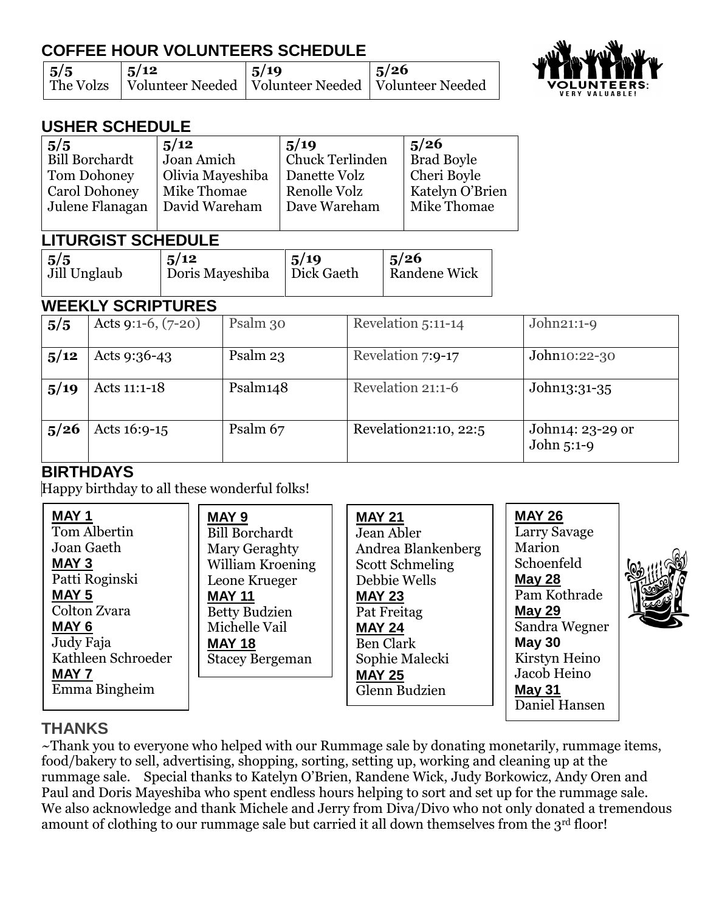# **COFFEE HOUR VOLUNTEERS SCHEDULE**

| $\frac{5}{5}$ | $\frac{1}{3}$ /12                                                  | 5/19 | $\frac{1}{2}$ 5/26 |
|---------------|--------------------------------------------------------------------|------|--------------------|
|               | The Volzs   Volunteer Needed   Volunteer Needed   Volunteer Needed |      |                    |



## **USHER SCHEDULE**

| $5/5$<br>  Bill Borchardt | 5/12             | 5/19                   | 5/26              |
|---------------------------|------------------|------------------------|-------------------|
|                           | Joan Amich       | <b>Chuck Terlinden</b> | <b>Brad Boyle</b> |
| Tom Dohoney               | Olivia Mayeshiba | Danette Volz           | Cheri Boyle       |
| Carol Dohoney             | Mike Thomae      | Renolle Volz           | Katelyn O'Brien   |
| Julene Flanagan           | David Wareham    | Dave Wareham           | Mike Thomae       |
|                           |                  |                        |                   |

#### **LITURGIST SCHEDULE**

| $\vert 5/5$  | 5/12            | 5/19       | 5/26         |
|--------------|-----------------|------------|--------------|
| Jill Unglaub | Doris Mayeshiba | Dick Gaeth | Randene Wick |
|              |                 |            |              |

#### **WEEKLY SCRIPTURES**

| 5/5  | Acts 9:1-6, $(7-20)$ | Psalm 30 | Revelation 5:11-14    | $John21:1-9$                   |
|------|----------------------|----------|-----------------------|--------------------------------|
| 5/12 | Acts $9:36-43$       | Psalm 23 | Revelation 7:9-17     | John10:22-30                   |
| 5/19 | Acts 11:1-18         | Psalm148 | Revelation 21:1-6     | John13:31-35                   |
| 5/26 | Acts $16:9-15$       | Psalm 67 | Revelation21:10, 22:5 | John14: 23-29 or<br>John 5:1-9 |

# **BIRTHDAYS**

Happy birthday to all these wonderful folks!

| <b>MAY 1</b><br>Tom Albertin<br>Joan Gaeth<br><b>MAY 3</b><br>Patti Roginski<br>MAY <sub>5</sub><br>Colton Zvara<br>MAY <sub>6</sub><br>Judy Faja<br>Kathleen Schroeder<br><b>MAY 7</b><br>Emma Bingheim | <b>MAY 9</b><br><b>Bill Borchardt</b><br>Mary Geraghty<br>William Kroening<br>Leone Krueger<br><b>MAY 11</b><br><b>Betty Budzien</b><br>Michelle Vail<br><b>MAY 18</b><br><b>Stacey Bergeman</b> | <b>MAY 21</b><br>Jean Abler<br>Andrea Blankenberg<br><b>Scott Schmeling</b><br>Debbie Wells<br><b>MAY 23</b><br>Pat Freitag<br><b>MAY 24</b><br><b>Ben Clark</b><br>Sophie Malecki<br><b>MAY 25</b><br>Glenn Budzien | <b>MAY 26</b><br>Larry Savage<br>Marion<br>Schoenfeld<br><b>May 28</b><br>Pam Kothrade<br><b>May 29</b><br>Sandra Wegner<br><b>May 30</b><br>Kirstyn Heino<br>Jacob Heino<br><b>May 31</b><br>Daniel Hansen | <u>sall</u><br>192<br>لكيأ |
|----------------------------------------------------------------------------------------------------------------------------------------------------------------------------------------------------------|--------------------------------------------------------------------------------------------------------------------------------------------------------------------------------------------------|----------------------------------------------------------------------------------------------------------------------------------------------------------------------------------------------------------------------|-------------------------------------------------------------------------------------------------------------------------------------------------------------------------------------------------------------|----------------------------|
|----------------------------------------------------------------------------------------------------------------------------------------------------------------------------------------------------------|--------------------------------------------------------------------------------------------------------------------------------------------------------------------------------------------------|----------------------------------------------------------------------------------------------------------------------------------------------------------------------------------------------------------------------|-------------------------------------------------------------------------------------------------------------------------------------------------------------------------------------------------------------|----------------------------|

## **THANKS**

~Thank you to everyone who helped with our Rummage sale by donating monetarily, rummage items, food/bakery to sell, advertising, shopping, sorting, setting up, working and cleaning up at the rummage sale. Special thanks to Katelyn O'Brien, Randene Wick, Judy Borkowicz, Andy Oren and Paul and Doris Mayeshiba who spent endless hours helping to sort and set up for the rummage sale. We also acknowledge and thank Michele and Jerry from Diva/Divo who not only donated a tremendous amount of clothing to our rummage sale but carried it all down themselves from the 3rd floor!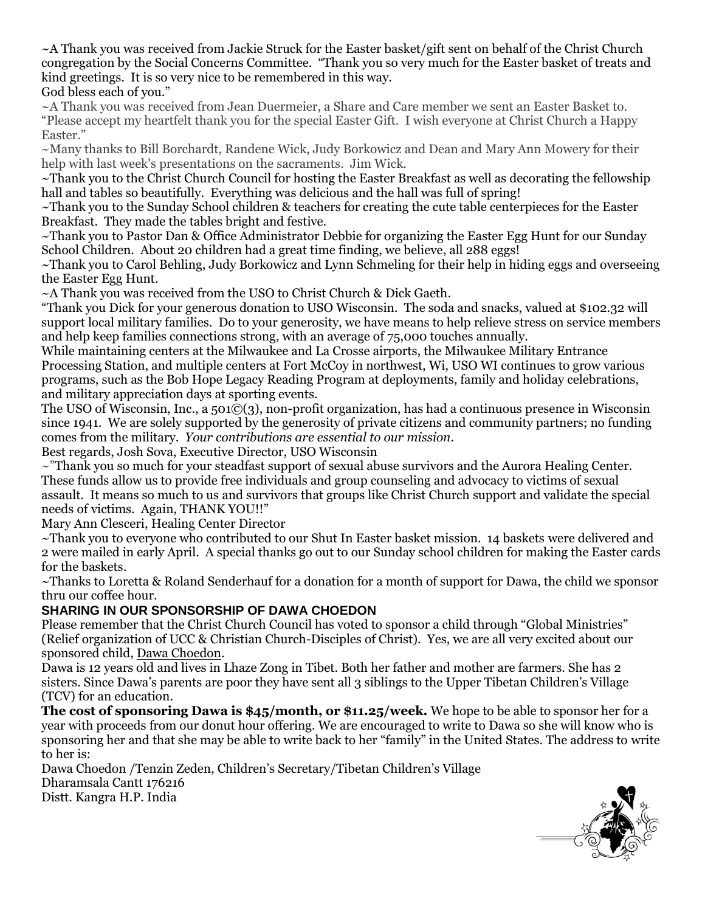~A Thank you was received from Jackie Struck for the Easter basket/gift sent on behalf of the Christ Church congregation by the Social Concerns Committee. "Thank you so very much for the Easter basket of treats and kind greetings. It is so very nice to be remembered in this way. God bless each of you."

~A Thank you was received from Jean Duermeier, a Share and Care member we sent an Easter Basket to. "Please accept my heartfelt thank you for the special Easter Gift. I wish everyone at Christ Church a Happy Easter."

~Many thanks to Bill Borchardt, Randene Wick, Judy Borkowicz and Dean and Mary Ann Mowery for their help with last week's presentations on the sacraments. Jim Wick.

~Thank you to the Christ Church Council for hosting the Easter Breakfast as well as decorating the fellowship hall and tables so beautifully. Everything was delicious and the hall was full of spring!

~Thank you to the Sunday School children & teachers for creating the cute table centerpieces for the Easter Breakfast. They made the tables bright and festive.

~Thank you to Pastor Dan & Office Administrator Debbie for organizing the Easter Egg Hunt for our Sunday School Children. About 20 children had a great time finding, we believe, all 288 eggs!

~Thank you to Carol Behling, Judy Borkowicz and Lynn Schmeling for their help in hiding eggs and overseeing the Easter Egg Hunt.

~A Thank you was received from the USO to Christ Church & Dick Gaeth.

"Thank you Dick for your generous donation to USO Wisconsin. The soda and snacks, valued at \$102.32 will support local military families. Do to your generosity, we have means to help relieve stress on service members and help keep families connections strong, with an average of 75,000 touches annually.

While maintaining centers at the Milwaukee and La Crosse airports, the Milwaukee Military Entrance Processing Station, and multiple centers at Fort McCoy in northwest, Wi, USO WI continues to grow various programs, such as the Bob Hope Legacy Reading Program at deployments, family and holiday celebrations, and military appreciation days at sporting events.

The USO of Wisconsin, Inc., a 501©(3), non-profit organization, has had a continuous presence in Wisconsin since 1941. We are solely supported by the generosity of private citizens and community partners; no funding comes from the military. *Your contributions are essential to our mission.*

Best regards, Josh Sova, Executive Director, USO Wisconsin

 $\sim$ "Thank you so much for your steadfast support of sexual abuse survivors and the Aurora Healing Center. These funds allow us to provide free individuals and group counseling and advocacy to victims of sexual assault. It means so much to us and survivors that groups like Christ Church support and validate the special needs of victims. Again, THANK YOU!!"

Mary Ann Clesceri, Healing Center Director

~Thank you to everyone who contributed to our Shut In Easter basket mission. 14 baskets were delivered and 2 were mailed in early April. A special thanks go out to our Sunday school children for making the Easter cards for the baskets.

~Thanks to Loretta & Roland Senderhauf for a donation for a month of support for Dawa, the child we sponsor thru our coffee hour.

#### **SHARING IN OUR SPONSORSHIP OF DAWA CHOEDON**

Please remember that the Christ Church Council has voted to sponsor a child through "Global Ministries" (Relief organization of UCC & Christian Church-Disciples of Christ). Yes, we are all very excited about our sponsored child, Dawa Choedon.

Dawa is 12 years old and lives in Lhaze Zong in Tibet. Both her father and mother are farmers. She has 2 sisters. Since Dawa's parents are poor they have sent all 3 siblings to the Upper Tibetan Children's Village (TCV) for an education.

**The cost of sponsoring Dawa is \$45/month, or \$11.25/week.** We hope to be able to sponsor her for a year with proceeds from our donut hour offering. We are encouraged to write to Dawa so she will know who is sponsoring her and that she may be able to write back to her "family" in the United States. The address to write to her is:

Dawa Choedon /Tenzin Zeden, Children's Secretary/Tibetan Children's Village Dharamsala Cantt 176216 Distt. Kangra H.P. India